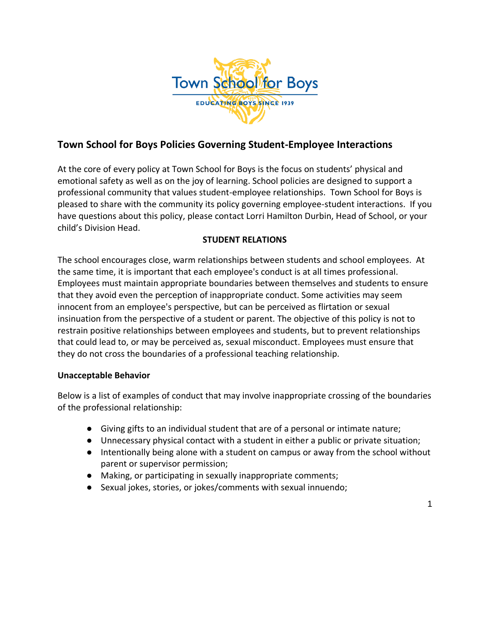

## **Town School for Boys Policies Governing Student-Employee Interactions**

At the core of every policy at Town School for Boys is the focus on students' physical and emotional safety as well as on the joy of learning. School policies are designed to support a professional community that values student-employee relationships. Town School for Boys is pleased to share with the community its policy governing employee-student interactions. If you have questions about this policy, please contact Lorri Hamilton Durbin, Head of School, or your child's Division Head.

## **STUDENT RELATIONS**

The school encourages close, warm relationships between students and school employees. At the same time, it is important that each employee's conduct is at all times professional. Employees must maintain appropriate boundaries between themselves and students to ensure that they avoid even the perception of inappropriate conduct. Some activities may seem innocent from an employee's perspective, but can be perceived as flirtation or sexual insinuation from the perspective of a student or parent. The objective of this policy is not to restrain positive relationships between employees and students, but to prevent relationships that could lead to, or may be perceived as, sexual misconduct. Employees must ensure that they do not cross the boundaries of a professional teaching relationship.

## **Unacceptable Behavior**

Below is a list of examples of conduct that may involve inappropriate crossing of the boundaries of the professional relationship:

- Giving gifts to an individual student that are of a personal or intimate nature;
- Unnecessary physical contact with a student in either a public or private situation;
- Intentionally being alone with a student on campus or away from the school without parent or supervisor permission;
- Making, or participating in sexually inappropriate comments;
- Sexual jokes, stories, or jokes/comments with sexual innuendo;